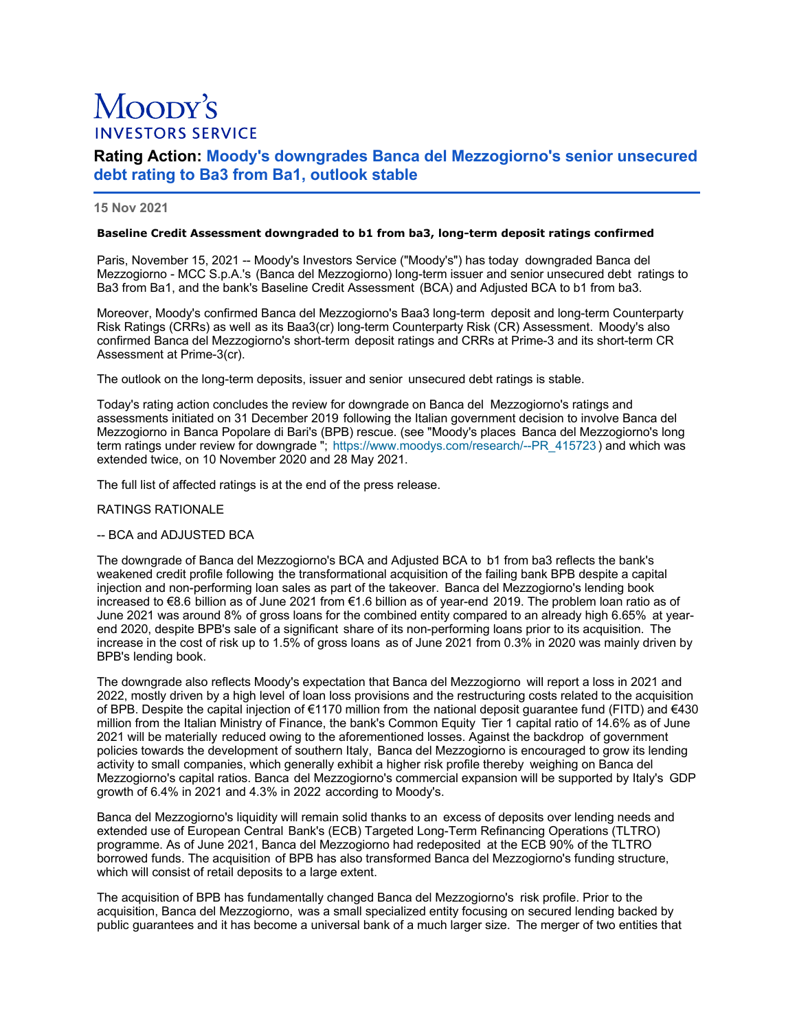# Moopy's **INVESTORS SERVICE**

# **Rating Action: Moody's downgrades Banca del Mezzogiorno's senior unsecured debt rating to Ba3 from Ba1, outlook stable**

# **15 Nov 2021**

# **Baseline Credit Assessment downgraded to b1 from ba3, long-term deposit ratings confirmed**

Paris, November 15, 2021 -- Moody's Investors Service ("Moody's") has today downgraded Banca del Mezzogiorno - MCC S.p.A.'s (Banca del Mezzogiorno) long-term issuer and senior unsecured debt ratings to Ba3 from Ba1, and the bank's Baseline Credit Assessment (BCA) and Adjusted BCA to b1 from ba3.

Moreover, Moody's confirmed Banca del Mezzogiorno's Baa3 long-term deposit and long-term Counterparty Risk Ratings (CRRs) as well as its Baa3(cr) long-term Counterparty Risk (CR) Assessment. Moody's also confirmed Banca del Mezzogiorno's short-term deposit ratings and CRRs at Prime-3 and its short-term CR Assessment at Prime-3(cr).

The outlook on the long-term deposits, issuer and senior unsecured debt ratings is stable.

Today's rating action concludes the review for downgrade on Banca del Mezzogiorno's ratings and assessments initiated on 31 December 2019 following the Italian government decision to involve Banca del Mezzogiorno in Banca Popolare di Bari's (BPB) rescue. (see "Moody's places Banca del Mezzogiorno's long term ratings under review for downgrade "; [https://www.moodys.com/research/--PR\\_415723](https://www.moodys.com/research/--PR_415723) ) and which was extended twice, on 10 November 2020 and 28 May 2021.

The full list of affected ratings is at the end of the press release.

# RATINGS RATIONALE

# -- BCA and ADJUSTED BCA

The downgrade of Banca del Mezzogiorno's BCA and Adjusted BCA to b1 from ba3 reflects the bank's weakened credit profile following the transformational acquisition of the failing bank BPB despite a capital injection and non-performing loan sales as part of the takeover. Banca del Mezzogiorno's lending book increased to €8.6 billion as of June 2021 from €1.6 billion as of year-end 2019. The problem loan ratio as of June 2021 was around 8% of gross loans for the combined entity compared to an already high 6.65% at yearend 2020, despite BPB's sale of a significant share of its non-performing loans prior to its acquisition. The increase in the cost of risk up to 1.5% of gross loans as of June 2021 from 0.3% in 2020 was mainly driven by BPB's lending book.

The downgrade also reflects Moody's expectation that Banca del Mezzogiorno will report a loss in 2021 and 2022, mostly driven by a high level of loan loss provisions and the restructuring costs related to the acquisition of BPB. Despite the capital injection of €1170 million from the national deposit guarantee fund (FITD) and €430 million from the Italian Ministry of Finance, the bank's Common Equity Tier 1 capital ratio of 14.6% as of June 2021 will be materially reduced owing to the aforementioned losses. Against the backdrop of government policies towards the development of southern Italy, Banca del Mezzogiorno is encouraged to grow its lending activity to small companies, which generally exhibit a higher risk profile thereby weighing on Banca del Mezzogiorno's capital ratios. Banca del Mezzogiorno's commercial expansion will be supported by Italy's GDP growth of 6.4% in 2021 and 4.3% in 2022 according to Moody's.

Banca del Mezzogiorno's liquidity will remain solid thanks to an excess of deposits over lending needs and extended use of European Central Bank's (ECB) Targeted Long-Term Refinancing Operations (TLTRO) programme. As of June 2021, Banca del Mezzogiorno had redeposited at the ECB 90% of the TLTRO borrowed funds. The acquisition of BPB has also transformed Banca del Mezzogiorno's funding structure, which will consist of retail deposits to a large extent.

The acquisition of BPB has fundamentally changed Banca del Mezzogiorno's risk profile. Prior to the acquisition, Banca del Mezzogiorno, was a small specialized entity focusing on secured lending backed by public guarantees and it has become a universal bank of a much larger size. The merger of two entities that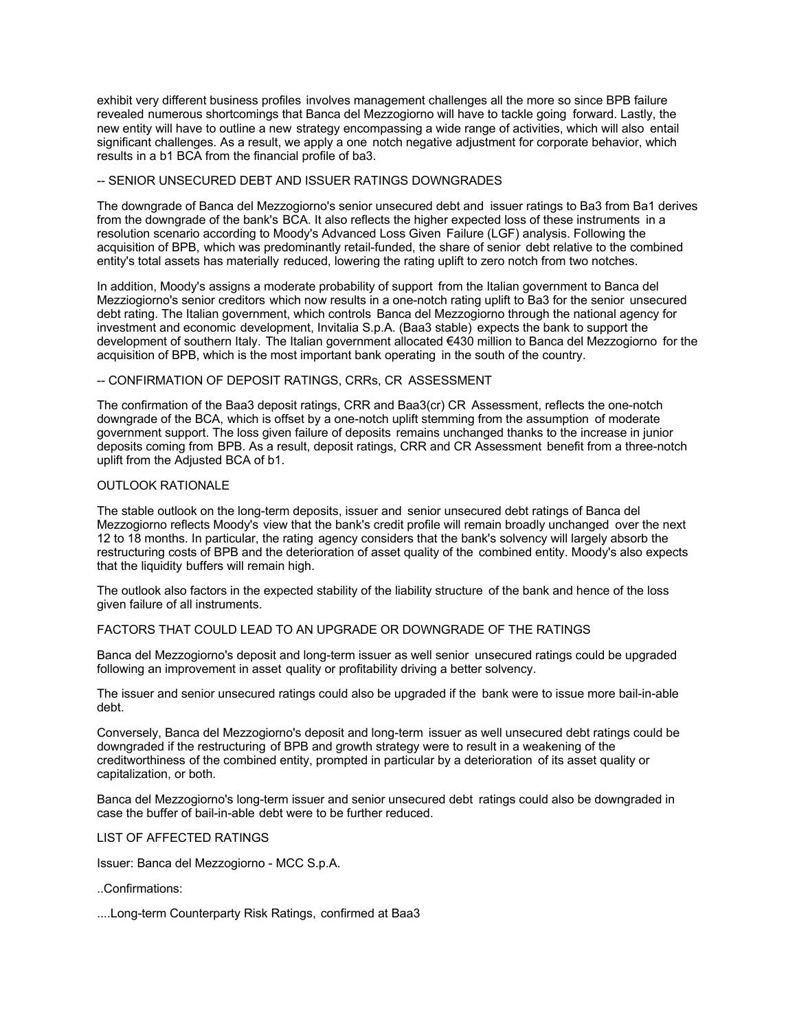exhibit very different business profiles involves management challenges all the more so since BPB failure revealed numerous shortcomings that Banca del Mezzogiorno will have to tackle going forward. Lastly, the new entity will have to outline a new strategy encompassing a wide range of activities, which will also entail significant challenges. As a result, we apply a one notch negative adjustment for corporate behavior, which results in a b1 BCA from the financial profile of ba3.

#### -- SENIOR UNSECURED DEBT AND ISSUER RATINGS DOWNGRADES

The downgrade of Banca del Mezzogiorno's senior unsecured debt and issuer ratings to Ba3 from Ba1 derives from the downgrade of the bank's BCA. It also reflects the higher expected loss of these instruments in a resolution scenario according to Moody's Advanced Loss Given Failure (LGF) analysis. Following the acquisition of BPB, which was predominantly retail-funded, the share of senior debt relative to the combined entity's total assets has materially reduced, lowering the rating uplift to zero notch from two notches.

In addition, Moody's assigns a moderate probability of support from the Italian government to Banca del Mezziogiorno's senior creditors which now results in a one-notch rating uplift to Ba3 for the senior unsecured debt rating. The Italian government, which controls Banca del Mezzogiorno through the national agency for investment and economic development, Invitalia S.p.A. (Baa3 stable) expects the bank to support the development of southern Italy. The Italian government allocated €430 million to Banca del Mezzogiorno for the acquisition of BPB, which is the most important bank operating in the south of the country.

# -- CONFIRMATION OF DEPOSIT RATINGS, CRRs, CR ASSESSMENT

The confirmation of the Baa3 deposit ratings, CRR and Baa3(cr) CR Assessment, reflects the one-notch downgrade of the BCA, which is offset by a one-notch uplift stemming from the assumption of moderate government support. The loss given failure of deposits remains unchanged thanks to the increase in junior deposits coming from BPB. As a result, deposit ratings, CRR and CR Assessment benefit from a three-notch uplift from the Adjusted BCA of b1.

#### OUTLOOK RATIONALE

The stable outlook on the long-term deposits, issuer and senior unsecured debt ratings of Banca del Mezzogiorno reflects Moody's view that the bank's credit profile will remain broadly unchanged over the next 12 to 18 months. In particular, the rating agency considers that the bank's solvency will largely absorb the restructuring costs of BPB and the deterioration of asset quality of the combined entity. Moody's also expects that the liquidity buffers will remain high.

The outlook also factors in the expected stability of the liability structure of the bank and hence of the loss given failure of all instruments.

# FACTORS THAT COULD LEAD TO AN UPGRADE OR DOWNGRADE OF THE RATINGS

Banca del Mezzogiorno's deposit and long-term issuer as well senior unsecured ratings could be upgraded following an improvement in asset quality or profitability driving a better solvency.

The issuer and senior unsecured ratings could also be upgraded if the bank were to issue more bail-in-able debt.

Conversely, Banca del Mezzogiorno's deposit and long-term issuer as well unsecured debt ratings could be downgraded if the restructuring of BPB and growth strategy were to result in a weakening of the creditworthiness of the combined entity, prompted in particular by a deterioration of its asset quality or capitalization, or both.

Banca del Mezzogiorno's long-term issuer and senior unsecured debt ratings could also be downgraded in case the buffer of bail-in-able debt were to be further reduced.

LIST OF AFFECTED RATINGS

Issuer: Banca del Mezzogiorno - MCC S.p.A.

..Confirmations:

....Long-term Counterparty Risk Ratings, confirmed at Baa3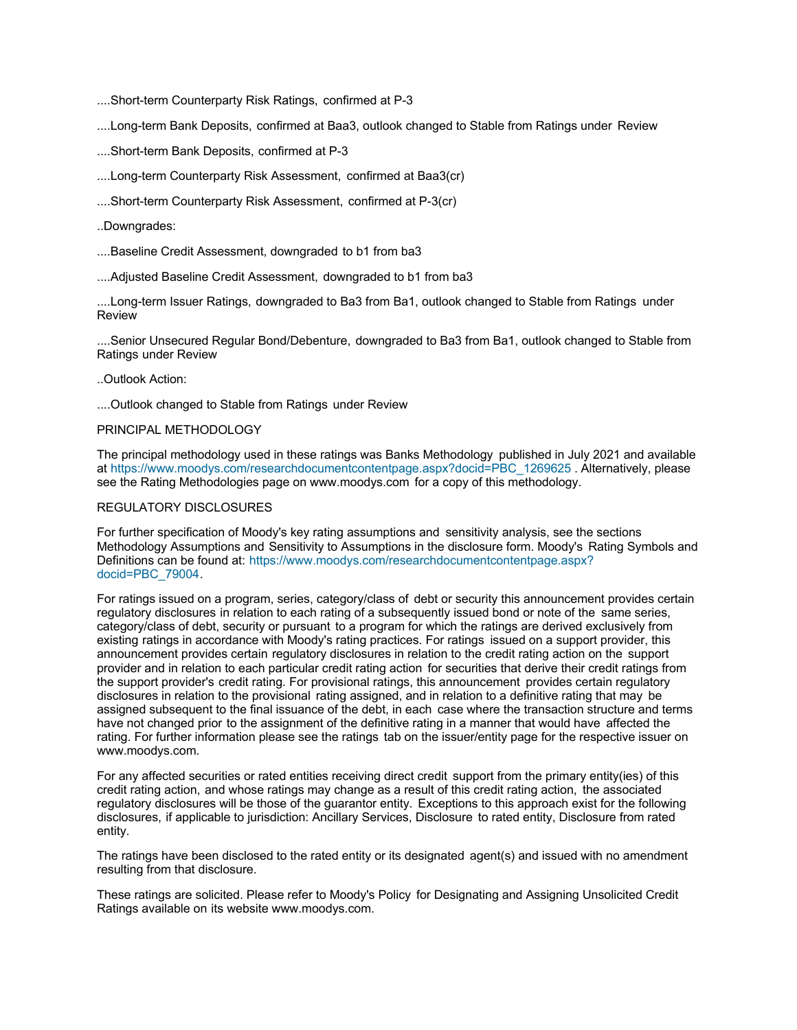- ....Short-term Counterparty Risk Ratings, confirmed at P-3
- ....Long-term Bank Deposits, confirmed at Baa3, outlook changed to Stable from Ratings under Review
- ....Short-term Bank Deposits, confirmed at P-3
- ....Long-term Counterparty Risk Assessment, confirmed at Baa3(cr)
- ....Short-term Counterparty Risk Assessment, confirmed at P-3(cr)
- ..Downgrades:
- ....Baseline Credit Assessment, downgraded to b1 from ba3
- ....Adjusted Baseline Credit Assessment, downgraded to b1 from ba3

....Long-term Issuer Ratings, downgraded to Ba3 from Ba1, outlook changed to Stable from Ratings under Review

....Senior Unsecured Regular Bond/Debenture, downgraded to Ba3 from Ba1, outlook changed to Stable from Ratings under Review

..Outlook Action:

....Outlook changed to Stable from Ratings under Review

# PRINCIPAL METHODOLOGY

The principal methodology used in these ratings was Banks Methodology published in July 2021 and available at [https://www.moodys.com/researchdocumentcontentpage.aspx?docid=PBC\\_1269625](https://www.moodys.com/researchdocumentcontentpage.aspx?docid=PBC_1269625) . Alternatively, please see the Rating Methodologies page on www.moodys.com for a copy of this methodology.

#### REGULATORY DISCLOSURES

For further specification of Moody's key rating assumptions and sensitivity analysis, see the sections Methodology Assumptions and Sensitivity to Assumptions in the disclosure form. Moody's Rating Symbols and [Definitions can be found at: https://www.moodys.com/researchdocumentcontentpage.aspx?](https://www.moodys.com/researchdocumentcontentpage.aspx?docid=PBC_79004) docid=PBC\_79004.

For ratings issued on a program, series, category/class of debt or security this announcement provides certain regulatory disclosures in relation to each rating of a subsequently issued bond or note of the same series, category/class of debt, security or pursuant to a program for which the ratings are derived exclusively from existing ratings in accordance with Moody's rating practices. For ratings issued on a support provider, this announcement provides certain regulatory disclosures in relation to the credit rating action on the support provider and in relation to each particular credit rating action for securities that derive their credit ratings from the support provider's credit rating. For provisional ratings, this announcement provides certain regulatory disclosures in relation to the provisional rating assigned, and in relation to a definitive rating that may be assigned subsequent to the final issuance of the debt, in each case where the transaction structure and terms have not changed prior to the assignment of the definitive rating in a manner that would have affected the rating. For further information please see the ratings tab on the issuer/entity page for the respective issuer on www.moodys.com.

For any affected securities or rated entities receiving direct credit support from the primary entity(ies) of this credit rating action, and whose ratings may change as a result of this credit rating action, the associated regulatory disclosures will be those of the guarantor entity. Exceptions to this approach exist for the following disclosures, if applicable to jurisdiction: Ancillary Services, Disclosure to rated entity, Disclosure from rated entity.

The ratings have been disclosed to the rated entity or its designated agent(s) and issued with no amendment resulting from that disclosure.

These ratings are solicited. Please refer to Moody's Policy for Designating and Assigning Unsolicited Credit Ratings available on its website www.moodys.com.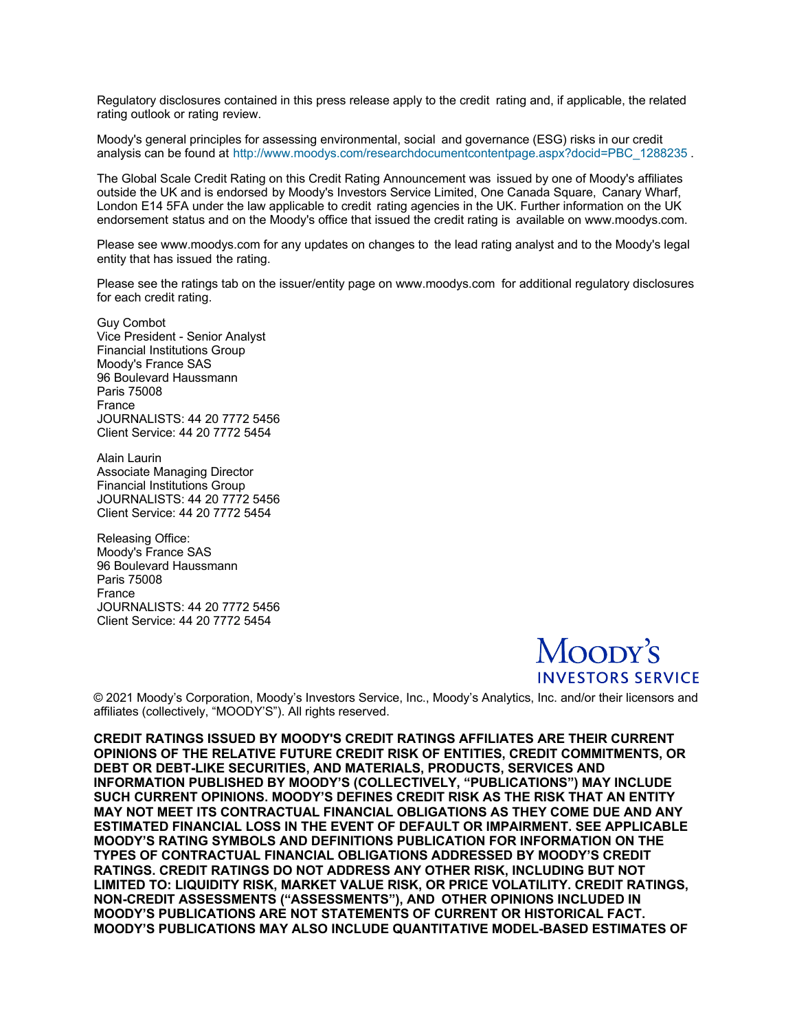Regulatory disclosures contained in this press release apply to the credit rating and, if applicable, the related rating outlook or rating review.

Moody's general principles for assessing environmental, social and governance (ESG) risks in our credit analysis can be found at http://www.moodys.com/researchdocumentcontentpage.aspx?docid=PBC 1288235 .

The Global Scale Credit Rating on this Credit Rating Announcement was issued by one of Moody's affiliates outside the UK and is endorsed by Moody's Investors Service Limited, One Canada Square, Canary Wharf, London E14 5FA under the law applicable to credit rating agencies in the UK. Further information on the UK endorsement status and on the Moody's office that issued the credit rating is available on www.moodys.com.

Please see www.moodys.com for any updates on changes to the lead rating analyst and to the Moody's legal entity that has issued the rating.

Please see the ratings tab on the issuer/entity page on www.moodys.com for additional regulatory disclosures for each credit rating.

Guy Combot Vice President - Senior Analyst Financial Institutions Group Moody's France SAS 96 Boulevard Haussmann Paris 75008 France JOURNALISTS: 44 20 7772 5456 Client Service: 44 20 7772 5454

Alain Laurin Associate Managing Director Financial Institutions Group JOURNALISTS: 44 20 7772 5456 Client Service: 44 20 7772 5454

Releasing Office: Moody's France SAS 96 Boulevard Haussmann Paris 75008 France JOURNALISTS: 44 20 7772 5456 Client Service: 44 20 7772 5454



© 2021 Moody's Corporation, Moody's Investors Service, Inc., Moody's Analytics, Inc. and/or their licensors and affiliates (collectively, "MOODY'S"). All rights reserved.

**CREDIT RATINGS ISSUED BY MOODY'S CREDIT RATINGS AFFILIATES ARE THEIR CURRENT OPINIONS OF THE RELATIVE FUTURE CREDIT RISK OF ENTITIES, CREDIT COMMITMENTS, OR DEBT OR DEBT-LIKE SECURITIES, AND MATERIALS, PRODUCTS, SERVICES AND INFORMATION PUBLISHED BY MOODY'S (COLLECTIVELY, "PUBLICATIONS") MAY INCLUDE SUCH CURRENT OPINIONS. MOODY'S DEFINES CREDIT RISK AS THE RISK THAT AN ENTITY MAY NOT MEET ITS CONTRACTUAL FINANCIAL OBLIGATIONS AS THEY COME DUE AND ANY ESTIMATED FINANCIAL LOSS IN THE EVENT OF DEFAULT OR IMPAIRMENT. SEE APPLICABLE MOODY'S RATING SYMBOLS AND DEFINITIONS PUBLICATION FOR INFORMATION ON THE TYPES OF CONTRACTUAL FINANCIAL OBLIGATIONS ADDRESSED BY MOODY'S CREDIT RATINGS. CREDIT RATINGS DO NOT ADDRESS ANY OTHER RISK, INCLUDING BUT NOT LIMITED TO: LIQUIDITY RISK, MARKET VALUE RISK, OR PRICE VOLATILITY. CREDIT RATINGS, NON-CREDIT ASSESSMENTS ("ASSESSMENTS"), AND OTHER OPINIONS INCLUDED IN MOODY'S PUBLICATIONS ARE NOT STATEMENTS OF CURRENT OR HISTORICAL FACT. MOODY'S PUBLICATIONS MAY ALSO INCLUDE QUANTITATIVE MODEL-BASED ESTIMATES OF**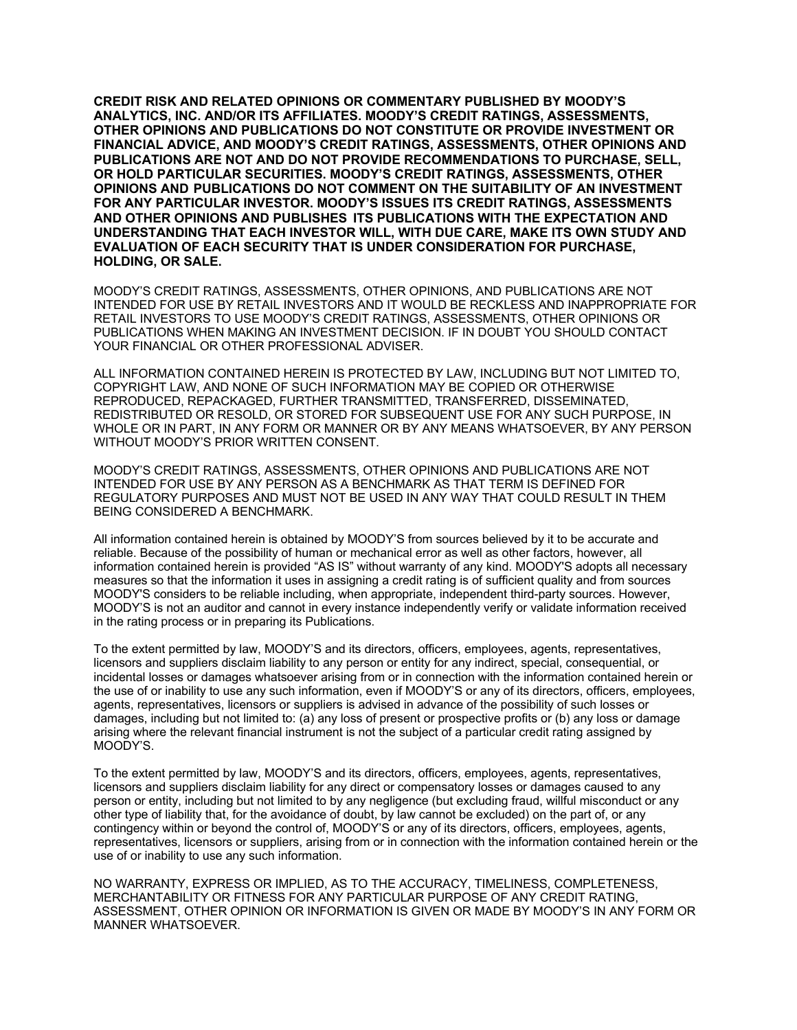**CREDIT RISK AND RELATED OPINIONS OR COMMENTARY PUBLISHED BY MOODY'S ANALYTICS, INC. AND/OR ITS AFFILIATES. MOODY'S CREDIT RATINGS, ASSESSMENTS, OTHER OPINIONS AND PUBLICATIONS DO NOT CONSTITUTE OR PROVIDE INVESTMENT OR FINANCIAL ADVICE, AND MOODY'S CREDIT RATINGS, ASSESSMENTS, OTHER OPINIONS AND PUBLICATIONS ARE NOT AND DO NOT PROVIDE RECOMMENDATIONS TO PURCHASE, SELL, OR HOLD PARTICULAR SECURITIES. MOODY'S CREDIT RATINGS, ASSESSMENTS, OTHER OPINIONS AND PUBLICATIONS DO NOT COMMENT ON THE SUITABILITY OF AN INVESTMENT FOR ANY PARTICULAR INVESTOR. MOODY'S ISSUES ITS CREDIT RATINGS, ASSESSMENTS AND OTHER OPINIONS AND PUBLISHES ITS PUBLICATIONS WITH THE EXPECTATION AND UNDERSTANDING THAT EACH INVESTOR WILL, WITH DUE CARE, MAKE ITS OWN STUDY AND EVALUATION OF EACH SECURITY THAT IS UNDER CONSIDERATION FOR PURCHASE, HOLDING, OR SALE.** 

MOODY'S CREDIT RATINGS, ASSESSMENTS, OTHER OPINIONS, AND PUBLICATIONS ARE NOT INTENDED FOR USE BY RETAIL INVESTORS AND IT WOULD BE RECKLESS AND INAPPROPRIATE FOR RETAIL INVESTORS TO USE MOODY'S CREDIT RATINGS, ASSESSMENTS, OTHER OPINIONS OR PUBLICATIONS WHEN MAKING AN INVESTMENT DECISION. IF IN DOUBT YOU SHOULD CONTACT YOUR FINANCIAL OR OTHER PROFESSIONAL ADVISER.

ALL INFORMATION CONTAINED HEREIN IS PROTECTED BY LAW, INCLUDING BUT NOT LIMITED TO, COPYRIGHT LAW, AND NONE OF SUCH INFORMATION MAY BE COPIED OR OTHERWISE REPRODUCED, REPACKAGED, FURTHER TRANSMITTED, TRANSFERRED, DISSEMINATED, REDISTRIBUTED OR RESOLD, OR STORED FOR SUBSEQUENT USE FOR ANY SUCH PURPOSE, IN WHOLE OR IN PART, IN ANY FORM OR MANNER OR BY ANY MEANS WHATSOEVER, BY ANY PERSON WITHOUT MOODY'S PRIOR WRITTEN CONSENT.

MOODY'S CREDIT RATINGS, ASSESSMENTS, OTHER OPINIONS AND PUBLICATIONS ARE NOT INTENDED FOR USE BY ANY PERSON AS A BENCHMARK AS THAT TERM IS DEFINED FOR REGULATORY PURPOSES AND MUST NOT BE USED IN ANY WAY THAT COULD RESULT IN THEM BEING CONSIDERED A BENCHMARK.

All information contained herein is obtained by MOODY'S from sources believed by it to be accurate and reliable. Because of the possibility of human or mechanical error as well as other factors, however, all information contained herein is provided "AS IS" without warranty of any kind. MOODY'S adopts all necessary measures so that the information it uses in assigning a credit rating is of sufficient quality and from sources MOODY'S considers to be reliable including, when appropriate, independent third-party sources. However, MOODY'S is not an auditor and cannot in every instance independently verify or validate information received in the rating process or in preparing its Publications.

To the extent permitted by law, MOODY'S and its directors, officers, employees, agents, representatives, licensors and suppliers disclaim liability to any person or entity for any indirect, special, consequential, or incidental losses or damages whatsoever arising from or in connection with the information contained herein or the use of or inability to use any such information, even if MOODY'S or any of its directors, officers, employees, agents, representatives, licensors or suppliers is advised in advance of the possibility of such losses or damages, including but not limited to: (a) any loss of present or prospective profits or (b) any loss or damage arising where the relevant financial instrument is not the subject of a particular credit rating assigned by MOODY'S.

To the extent permitted by law, MOODY'S and its directors, officers, employees, agents, representatives, licensors and suppliers disclaim liability for any direct or compensatory losses or damages caused to any person or entity, including but not limited to by any negligence (but excluding fraud, willful misconduct or any other type of liability that, for the avoidance of doubt, by law cannot be excluded) on the part of, or any contingency within or beyond the control of, MOODY'S or any of its directors, officers, employees, agents, representatives, licensors or suppliers, arising from or in connection with the information contained herein or the use of or inability to use any such information.

NO WARRANTY, EXPRESS OR IMPLIED, AS TO THE ACCURACY, TIMELINESS, COMPLETENESS, MERCHANTABILITY OR FITNESS FOR ANY PARTICULAR PURPOSE OF ANY CREDIT RATING, ASSESSMENT, OTHER OPINION OR INFORMATION IS GIVEN OR MADE BY MOODY'S IN ANY FORM OR MANNER WHATSOEVER.